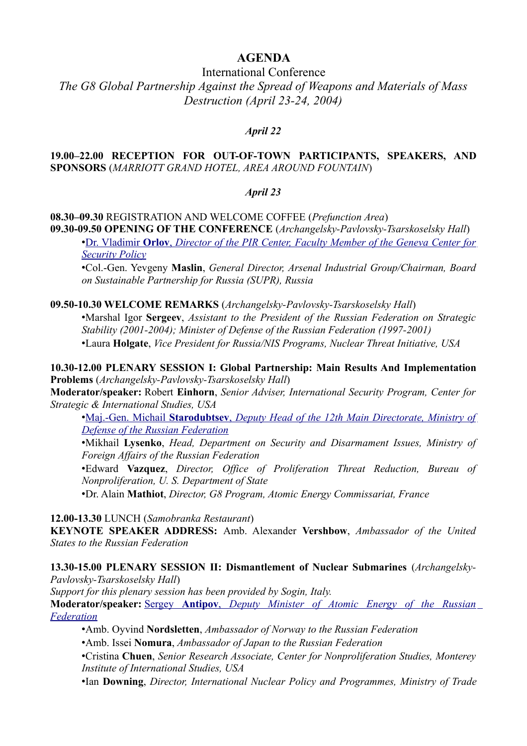## **AGENDA**

## International Conference *The G8 Global Partnership Against the Spread of Weapons and Materials of Mass Destruction (April 23-24, 2004)*

### *April 22*

#### **19.00–22.00 RECEPTION FOR OUT-OF-TOWN PARTICIPANTS, SPEAKERS, AND SPONSORS** (*MARRIOTT GRAND HOTEL, AREA AROUND FOUNTAIN*)

#### *April 23*

### **08.30–09.30** REGISTRATION AND WELCOME COFFEE (*Prefunction Area*) **09.30-09.50 OPENING OF THE CONFERENCE** (*Archangelsky-Pavlovsky-Tsarskoselsky Hall*)

• [Dr. Vladimir](http://pircenter.org/en/articles/989-opening-remarks-at-international-conference-the-g8-global-partnership-against-the-spread-of-weapons-and-materials-of-mass-destruction) **[Orlov](http://pircenter.org/en/articles/989-opening-remarks-at-international-conference-the-g8-global-partnership-against-the-spread-of-weapons-and-materials-of-mass-destruction)** [,](http://pircenter.org/en/articles/989-opening-remarks-at-international-conference-the-g8-global-partnership-against-the-spread-of-weapons-and-materials-of-mass-destruction) *[Director of the PIR Center, Faculty Member of the Geneva Center for](http://pircenter.org/en/articles/989-opening-remarks-at-international-conference-the-g8-global-partnership-against-the-spread-of-weapons-and-materials-of-mass-destruction) [Security Policy](http://pircenter.org/en/articles/989-opening-remarks-at-international-conference-the-g8-global-partnership-against-the-spread-of-weapons-and-materials-of-mass-destruction)*

•Col.-Gen. Yevgeny **Maslin**, *General Director, Arsenal Industrial Group/Chairman, Board on Sustainable Partnership for Russia (SUPR), Russia*

#### **09.50-10.30 WELCOME REMARKS** (*Archangelsky-Pavlovsky-Tsarskoselsky Hall*)

•Marshal Igor **Sergeev**, *Assistant to the President of the Russian Federation on Strategic Stability (2001-2004); Minister of Defense of the Russian Federation (1997-2001)* •Laura **Holgate**, *Vice President for Russia/NIS Programs, Nuclear Threat Initiative, USA*

**10.30-12.00 PLENARY SESSION I: Global Partnership: Main Results And Implementation Problems** (*Archangelsky-Pavlovsky-Tsarskoselsky Hall*)

**Moderator/speaker:** Robert **Einhorn**, *Senior Adviser, International Security Program, Center for Strategic & International Studies, USA*

• [Maj.-Gen. Michail](http://pircenter.org/en/articles/990-michail-starodubtsevs-speech-at-international-conference-the-g8-global-partnership-against-the-spread-of-weapons-and-materials-of-mass-destruction) **[Starodubtsev](http://pircenter.org/en/articles/990-michail-starodubtsevs-speech-at-international-conference-the-g8-global-partnership-against-the-spread-of-weapons-and-materials-of-mass-destruction)** [,](http://pircenter.org/en/articles/990-michail-starodubtsevs-speech-at-international-conference-the-g8-global-partnership-against-the-spread-of-weapons-and-materials-of-mass-destruction) *[Deputy Head of the 12th Main Directorate, Ministry of](http://pircenter.org/en/articles/990-michail-starodubtsevs-speech-at-international-conference-the-g8-global-partnership-against-the-spread-of-weapons-and-materials-of-mass-destruction) [Defense of the Russian Federation](http://pircenter.org/en/articles/990-michail-starodubtsevs-speech-at-international-conference-the-g8-global-partnership-against-the-spread-of-weapons-and-materials-of-mass-destruction)*

•Mikhail **Lysenko**, *Head, Department on Security and Disarmament Issues, Ministry of Foreign Affairs of the Russian Federation*

•Edward **Vazquez**, *Director, Office of Proliferation Threat Reduction, Bureau of Nonproliferation, U. S. Department of State*

•Dr. Alain **Mathiot**, *Director, G8 Program, Atomic Energy Commissariat, France*

**12.00-13.30** LUNCH (*Samobranka Restaurant*)

**KEYNOTE SPEAKER ADDRESS:** Amb. Alexander **Vershbow**, *Ambassador of the United States to the Russian Federation*

**13.30-15.00 PLENARY SESSION II: Dismantlement of Nuclear Submarines** (*Archangelsky-Pavlovsky-Tsarskoselsky Hall*)

*Support for this plenary session has been provided by Sogin, Italy.* **Moderator/speaker:** [Sergey](http://pircenter.org/en/articles/991-sergei-antipovs-speech-at-international-conference-the-g8-global-partnership-against-the-spread-of-weapons-and-materials-of-mass-destruction) [Antipov](http://pircenter.org/en/articles/991-sergei-antipovs-speech-at-international-conference-the-g8-global-partnership-against-the-spread-of-weapons-and-materials-of-mass-destruction), *[Deputy Minister of Atomic Energy of the Russian](http://pircenter.org/en/articles/991-sergei-antipovs-speech-at-international-conference-the-g8-global-partnership-against-the-spread-of-weapons-and-materials-of-mass-destruction) [Federation](http://pircenter.org/en/articles/991-sergei-antipovs-speech-at-international-conference-the-g8-global-partnership-against-the-spread-of-weapons-and-materials-of-mass-destruction)*

•Amb. Oyvind **Nordsletten**, *Ambassador of Norway to the Russian Federation*

•Amb. Issei **Nomura**, *Ambassador of Japan to the Russian Federation*

•Cristina **Chuen**, *Senior Research Associate, Center for Nonproliferation Studies, Monterey Institute of International Studies, USA*

•Ian **Downing**, *Director, International Nuclear Policy and Programmes, Ministry of Trade*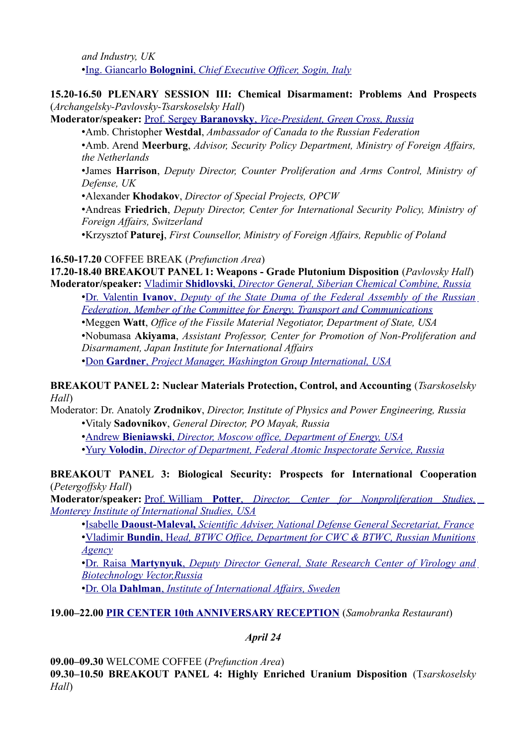*and Industry, UK* • [Ing. Giancarlo](http://pircenter.org/en/articles/992-giancarlo-bologninis-speech-at-international-conference-the-g8-global-partnership-against-the-spread-of-weapons-and-materials-of-mass-destruction) **[Bolognini](http://pircenter.org/en/articles/992-giancarlo-bologninis-speech-at-international-conference-the-g8-global-partnership-against-the-spread-of-weapons-and-materials-of-mass-destruction)**[,](http://pircenter.org/en/articles/992-giancarlo-bologninis-speech-at-international-conference-the-g8-global-partnership-against-the-spread-of-weapons-and-materials-of-mass-destruction) *[Chief Executive Officer,](http://pircenter.org/en/articles/992-giancarlo-bologninis-speech-at-international-conference-the-g8-global-partnership-against-the-spread-of-weapons-and-materials-of-mass-destruction) Sogin, Italy*

### **15.20-16.50 PLENARY SESSION III: Chemical Disarmament: Problems And Prospects** (*Archangelsky-Pavlovsky-Tsarskoselsky Hall*)

**Moderator/speaker:** [Prof. Sergey](http://pircenter.org/en/articles/993-sergey-baranovskys-speech-at-international-conference-the-g8-global-partnership-against-the-spread-of-weapons-and-materials-of-mass-destruction) **[Baranovsky](http://pircenter.org/en/articles/993-sergey-baranovskys-speech-at-international-conference-the-g8-global-partnership-against-the-spread-of-weapons-and-materials-of-mass-destruction)** [,](http://pircenter.org/en/articles/993-sergey-baranovskys-speech-at-international-conference-the-g8-global-partnership-against-the-spread-of-weapons-and-materials-of-mass-destruction) *[Vice-President, Green Cross, Russia](http://pircenter.org/en/articles/993-sergey-baranovskys-speech-at-international-conference-the-g8-global-partnership-against-the-spread-of-weapons-and-materials-of-mass-destruction)*

•Amb. Сhristopher **Westdal**, *Ambassador of Canada to the Russian Federation*

•Amb. Arend **Meerburg**, *Advisor, Security Policy Department, Ministry of Foreign Affairs, the Netherlands*

•James **Harrison**, *Deputy Director, Counter Proliferation and Arms Control, Ministry of Defense, UK*

•Alexander **Khodakov**, *Director of Special Projects, OPCW*

•Andreas **Friedrich**, *Deputy Director, Center for International Security Policy, Ministry of Foreign Affairs, Switzerland*

•Krzysztof **Paturej**, *First Counsellor, Ministry of Foreign Affairs, Republic of Poland*

#### **16.50-17.20** COFFEE BREAK (*Prefunction Area*)

**17.20-18.40 BREAKOUT PANEL 1: Weapons - Grade Plutonium Disposition** (*Pavlovsky Hall*) **Moderator/speaker:** [Vladimir](http://pircenter.org/en/articles/994-vladimir-shidlovskis-speech-at-international-conference-the-g8-global-partnership-against-the-spread-of-weapons-and-materials-of-mass-destruction) **[Shidlovski](http://pircenter.org/en/articles/994-vladimir-shidlovskis-speech-at-international-conference-the-g8-global-partnership-against-the-spread-of-weapons-and-materials-of-mass-destruction)** [,](http://pircenter.org/en/articles/994-vladimir-shidlovskis-speech-at-international-conference-the-g8-global-partnership-against-the-spread-of-weapons-and-materials-of-mass-destruction) *[Director General, Siberian Chemical Combine, Russia](http://pircenter.org/en/articles/994-vladimir-shidlovskis-speech-at-international-conference-the-g8-global-partnership-against-the-spread-of-weapons-and-materials-of-mass-destruction)*

• [Dr. Valentin](http://pircenter.org/en/articles/995-valentin-ivanovs-speech-at-international-conference-the-g8-global-partnership-against-the-spread-of-weapons-and-materials-of-mass-destruction) **[Ivanov](http://pircenter.org/en/articles/995-valentin-ivanovs-speech-at-international-conference-the-g8-global-partnership-against-the-spread-of-weapons-and-materials-of-mass-destruction)** [,](http://pircenter.org/en/articles/995-valentin-ivanovs-speech-at-international-conference-the-g8-global-partnership-against-the-spread-of-weapons-and-materials-of-mass-destruction) *[Deputy of the State Duma of the Federal Assembly of the Russian](http://pircenter.org/en/articles/995-valentin-ivanovs-speech-at-international-conference-the-g8-global-partnership-against-the-spread-of-weapons-and-materials-of-mass-destruction) [Federation, Member of the Committee for Energy, Transport and Communications](http://pircenter.org/en/articles/995-valentin-ivanovs-speech-at-international-conference-the-g8-global-partnership-against-the-spread-of-weapons-and-materials-of-mass-destruction)*

•Meggen **Watt**, *Office of the Fissile Material Negotiator, Department of State, USA* •Nobumasa **Akiyama**, *Assistant Professor, Center for Promotion of Non-Proliferation and Disarmament, Japan Institute for International Affairs*

• [Don](http://pircenter.org/en/articles/996-don-gardners-speech-at-international-conference-the-g8-global-partnership-against-the-spread-of-weapons-and-materials-of-mass-destruction) **[Gardner](http://pircenter.org/en/articles/996-don-gardners-speech-at-international-conference-the-g8-global-partnership-against-the-spread-of-weapons-and-materials-of-mass-destruction)** [,](http://pircenter.org/en/articles/996-don-gardners-speech-at-international-conference-the-g8-global-partnership-against-the-spread-of-weapons-and-materials-of-mass-destruction) *Project Manager, [Washington Group International, USA](http://pircenter.org/en/articles/996-don-gardners-speech-at-international-conference-the-g8-global-partnership-against-the-spread-of-weapons-and-materials-of-mass-destruction)*

#### **BREAKOUT PANEL 2: Nuclear Materials Protection, Control, and Accounting** (*Tsarskoselsky Hall*)

Moderator: Dr. Anatoly **Zrodnikov**, *Director, Institute of Physics and Power Engineering, Russia* •Vitaly **Sadovnikov**, *General Director, PO Mayak, Russia*

• [Andrew](http://pircenter.org/en/articles/997-andrew-bieniawskis-speech-at-international-conference-the-g8-global-partnership-against-the-spread-of-weapons-and-materials-of-mass-destruction) **[Bieniawski](http://pircenter.org/en/articles/997-andrew-bieniawskis-speech-at-international-conference-the-g8-global-partnership-against-the-spread-of-weapons-and-materials-of-mass-destruction)** [,](http://pircenter.org/en/articles/997-andrew-bieniawskis-speech-at-international-conference-the-g8-global-partnership-against-the-spread-of-weapons-and-materials-of-mass-destruction) *[Director, Moscow office, Department of Energy, USA](http://pircenter.org/en/articles/997-andrew-bieniawskis-speech-at-international-conference-the-g8-global-partnership-against-the-spread-of-weapons-and-materials-of-mass-destruction)*

• [Yury](http://pircenter.org/en/articles/998-yury-volodins-speech-at-international-conference-the-g8-global-partnership-against-the-spread-of-weapons-and-materials-of-mass-destruction) **[Volodin](http://pircenter.org/en/articles/998-yury-volodins-speech-at-international-conference-the-g8-global-partnership-against-the-spread-of-weapons-and-materials-of-mass-destruction)** [,](http://pircenter.org/en/articles/998-yury-volodins-speech-at-international-conference-the-g8-global-partnership-against-the-spread-of-weapons-and-materials-of-mass-destruction) *[Director of Department, Federal Atomic Inspectorate Service, Russia](http://pircenter.org/en/articles/998-yury-volodins-speech-at-international-conference-the-g8-global-partnership-against-the-spread-of-weapons-and-materials-of-mass-destruction)*

### **BREAKOUT PANEL 3: Biological Security: Prospects for International Cooperation** (*Petergoffsky Hall*)

**Moderator/speaker:** [Prof. William](http://pircenter.org/en/articles/1014-william-potters-speech-at-international-conference-the-g8-global-partnership-against-the-spread-of-weapons-and-materials-of-mass-destruction) **[Potter](http://pircenter.org/en/articles/1014-william-potters-speech-at-international-conference-the-g8-global-partnership-against-the-spread-of-weapons-and-materials-of-mass-destruction)** [,](http://pircenter.org/en/articles/1014-william-potters-speech-at-international-conference-the-g8-global-partnership-against-the-spread-of-weapons-and-materials-of-mass-destruction) *[Director, Center for Nonproliferation Studies,](http://pircenter.org/en/articles/1014-william-potters-speech-at-international-conference-the-g8-global-partnership-against-the-spread-of-weapons-and-materials-of-mass-destruction) [Monterey Institute of International Studies, USA](http://pircenter.org/en/articles/1014-william-potters-speech-at-international-conference-the-g8-global-partnership-against-the-spread-of-weapons-and-materials-of-mass-destruction)*

• [Isabelle](http://pircenter.org/en/articles/999-isabelle-daoustmalevals-speech-at-international-conference-the-g8-global-partnership-against-the-spread-of-weapons-and-materials-of-mass-destruction) **[Daoust-Maleval,](http://pircenter.org/en/articles/999-isabelle-daoustmalevals-speech-at-international-conference-the-g8-global-partnership-against-the-spread-of-weapons-and-materials-of-mass-destruction)** *[Scientific Adviser, National Defense General Secretariat, France](http://pircenter.org/en/articles/999-isabelle-daoustmalevals-speech-at-international-conference-the-g8-global-partnership-against-the-spread-of-weapons-and-materials-of-mass-destruction)* • [Vladimir](http://pircenter.org/en/articles/1016-vladimir-bundins-speech-at-international-conference-the-g8-global-partnership-against-the-spread-of-weapons-and-materials-of-mass-destruction) [Bundin](http://pircenter.org/en/articles/1016-vladimir-bundins-speech-at-international-conference-the-g8-global-partnership-against-the-spread-of-weapons-and-materials-of-mass-destruction), H[ead, BTWC Office, Department for CWC & BTWC, Russian Munitions](http://pircenter.org/en/articles/1016-vladimir-bundins-speech-at-international-conference-the-g8-global-partnership-against-the-spread-of-weapons-and-materials-of-mass-destruction) *[Agency](http://pircenter.org/en/articles/1016-vladimir-bundins-speech-at-international-conference-the-g8-global-partnership-against-the-spread-of-weapons-and-materials-of-mass-destruction)*

• [Dr. Raisa](http://pircenter.org/en/articles/1018-raisa-martynyuks-speech-at-international-conference-the-g8-global-partnership-against-the-spread-of-weapons-and-materials-of-mass-destruction) **[Martynyuk](http://pircenter.org/en/articles/1018-raisa-martynyuks-speech-at-international-conference-the-g8-global-partnership-against-the-spread-of-weapons-and-materials-of-mass-destruction)** [,](http://pircenter.org/en/articles/1018-raisa-martynyuks-speech-at-international-conference-the-g8-global-partnership-against-the-spread-of-weapons-and-materials-of-mass-destruction) *[Deputy Director General, State Research Center of Virology and](http://pircenter.org/en/articles/1018-raisa-martynyuks-speech-at-international-conference-the-g8-global-partnership-against-the-spread-of-weapons-and-materials-of-mass-destruction)  [Biotechnology Vector,Russia](http://pircenter.org/en/articles/1018-raisa-martynyuks-speech-at-international-conference-the-g8-global-partnership-against-the-spread-of-weapons-and-materials-of-mass-destruction)*

• [Dr. Ola](http://pircenter.org/en/articles/1017-ola-dahlmans-speech-at-international-conference-the-g8-global-partnership-against-the-spread-of-weapons-and-materials-of-mass-destruction) **[Dahlman](http://pircenter.org/en/articles/1017-ola-dahlmans-speech-at-international-conference-the-g8-global-partnership-against-the-spread-of-weapons-and-materials-of-mass-destruction)** [,](http://pircenter.org/en/articles/1017-ola-dahlmans-speech-at-international-conference-the-g8-global-partnership-against-the-spread-of-weapons-and-materials-of-mass-destruction) *[Institute of International Affairs, Sweden](http://pircenter.org/en/articles/1017-ola-dahlmans-speech-at-international-conference-the-g8-global-partnership-against-the-spread-of-weapons-and-materials-of-mass-destruction)*

# **19.00–22.00 [PIR CENTER 10th ANNIVERSARY RECEPTION](http://pircenter.org/en/articles/1000-pir-center-10th-anniversary-reception)** (*Samobranka Restaurant*)

## *April 24*

**09.00–09.30** WELCOME COFFEE (*Prefunction Area*)

**09.30–10.50 BREAKOUT PANEL 4: Highly Enriched Uranium Disposition** (T*sarskoselsky Hall*)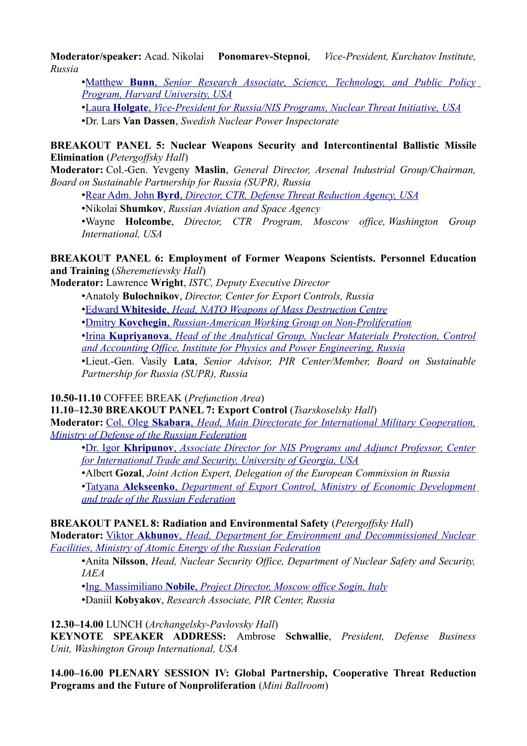**Moderator/speaker:** Acad. Nikolai **Ponomarev-Stepnoi**, *Vice-President, Kurchatov Institute, Russia*

• [Matthew](http://pircenter.org/en/articles/1001-matthew-bunns-speech-at-international-conference-the-g8-global-partnership-against-the-spread-of-weapons-and-materials-of-mass-destruction) **[Bunn](http://pircenter.org/en/articles/1001-matthew-bunns-speech-at-international-conference-the-g8-global-partnership-against-the-spread-of-weapons-and-materials-of-mass-destruction)** [,](http://pircenter.org/en/articles/1001-matthew-bunns-speech-at-international-conference-the-g8-global-partnership-against-the-spread-of-weapons-and-materials-of-mass-destruction) *[Senior Research Associate, Science, Technology, and Public Policy](http://pircenter.org/en/articles/1001-matthew-bunns-speech-at-international-conference-the-g8-global-partnership-against-the-spread-of-weapons-and-materials-of-mass-destruction) [Program, Harvard University, USA](http://pircenter.org/en/articles/1001-matthew-bunns-speech-at-international-conference-the-g8-global-partnership-against-the-spread-of-weapons-and-materials-of-mass-destruction)*

• [Laura](http://pircenter.org/en/articles/1002-lars-van-dassens-speech-at-international-conference-the-g8-global-partnership-against-the-spread-of-weapons-and-materials-of-mass-destruction) **[Holgate](http://pircenter.org/en/articles/1002-lars-van-dassens-speech-at-international-conference-the-g8-global-partnership-against-the-spread-of-weapons-and-materials-of-mass-destruction)** [,](http://pircenter.org/en/articles/1002-lars-van-dassens-speech-at-international-conference-the-g8-global-partnership-against-the-spread-of-weapons-and-materials-of-mass-destruction) *[Vice-President for Russia/NIS Programs,](http://pircenter.org/en/articles/1002-lars-van-dassens-speech-at-international-conference-the-g8-global-partnership-against-the-spread-of-weapons-and-materials-of-mass-destruction) Nuclear Threat Initiative, USA* •Dr. Lars **Van Dassen**, *Swedish Nuclear Power Inspectorate*

**BREAKOUT PANEL 5: Nuclear Weapons Security and Intercontinental Ballistic Missile Elimination** (*Petergoffsky Hall*)

**Moderator:** Col.-Gen. Yevgeny **Maslin**, *General Director, Arsenal Industrial Group/Chairman, Board on Sustainable Partnership for Russia (SUPR), Russia*

• [Rear Adm. John](http://pircenter.org/en/articles/1003-john-byrds-speech-at-international-conference-the-g8-global-partnership-against-the-spread-of-weapons-and-materials-of-mass-destruction) **[Byrd](http://pircenter.org/en/articles/1003-john-byrds-speech-at-international-conference-the-g8-global-partnership-against-the-spread-of-weapons-and-materials-of-mass-destruction)** [,](http://pircenter.org/en/articles/1003-john-byrds-speech-at-international-conference-the-g8-global-partnership-against-the-spread-of-weapons-and-materials-of-mass-destruction) *[Director, CTR, Defense Threat Reduction Agency, USA](http://pircenter.org/en/articles/1003-john-byrds-speech-at-international-conference-the-g8-global-partnership-against-the-spread-of-weapons-and-materials-of-mass-destruction)*

•Nikolai **Shumkov**, *Russian Aviation and Space Agency*

•Wayne **Holcombe**, *Director, CTR Program, Moscow office, Washington Group International, USA*

### **BREAKOUT PANEL 6: Employment of Former Weapons Scientists. Personnel Education and Training** (*Sheremetievsky Hall*)

**Moderator:** Lawrence **Wright**, *ISTC, Deputy Executive Director*

•Anatoly **Bulochnikov**, *Director, Center for Export Controls, Russia*

• [Edward](http://pircenter.org/en/articles/1004-edward-whitesides-speech-at-international-conference-the-g8-global-partnership-against-the-spread-of-weapons-and-materials-of-mass-destruction) **[Whiteside](http://pircenter.org/en/articles/1004-edward-whitesides-speech-at-international-conference-the-g8-global-partnership-against-the-spread-of-weapons-and-materials-of-mass-destruction)** [,](http://pircenter.org/en/articles/1004-edward-whitesides-speech-at-international-conference-the-g8-global-partnership-against-the-spread-of-weapons-and-materials-of-mass-destruction) *[Head, NATO Weapons of Mass Destruction Centre](http://pircenter.org/en/articles/1004-edward-whitesides-speech-at-international-conference-the-g8-global-partnership-against-the-spread-of-weapons-and-materials-of-mass-destruction)*

• [Dmitry](http://pircenter.org/en/articles/1005-dmitry-kovchegins-speech-at-international-conference-the-g8-global-partnership-against-the-spread-of-weapons-and-materials-of-mass-destruction) **[Kovchegin](http://pircenter.org/en/articles/1005-dmitry-kovchegins-speech-at-international-conference-the-g8-global-partnership-against-the-spread-of-weapons-and-materials-of-mass-destruction)** [,](http://pircenter.org/en/articles/1005-dmitry-kovchegins-speech-at-international-conference-the-g8-global-partnership-against-the-spread-of-weapons-and-materials-of-mass-destruction) *[Russian-American Working Group on Non-Proliferation](http://pircenter.org/en/articles/1005-dmitry-kovchegins-speech-at-international-conference-the-g8-global-partnership-against-the-spread-of-weapons-and-materials-of-mass-destruction)*

• [Irina](http://pircenter.org/en/articles/1006-irina-kupriyanovas-speech-at-international-conference-the-g8-global-partnership-against-the-spread-of-weapons-and-materials-of-mass-destruction) **[Kupriyanova](http://pircenter.org/en/articles/1006-irina-kupriyanovas-speech-at-international-conference-the-g8-global-partnership-against-the-spread-of-weapons-and-materials-of-mass-destruction)** [,](http://pircenter.org/en/articles/1006-irina-kupriyanovas-speech-at-international-conference-the-g8-global-partnership-against-the-spread-of-weapons-and-materials-of-mass-destruction) *[Head of the Analytical Group, Nuclear Materials Protection, Control](http://pircenter.org/en/articles/1006-irina-kupriyanovas-speech-at-international-conference-the-g8-global-partnership-against-the-spread-of-weapons-and-materials-of-mass-destruction) [and Accounting Office, Institute for Physics and Power Engineering, Russia](http://pircenter.org/en/articles/1006-irina-kupriyanovas-speech-at-international-conference-the-g8-global-partnership-against-the-spread-of-weapons-and-materials-of-mass-destruction)*

•Lieut.-Gen. Vasily **Lata**, *Senior Advisor, PIR Center/Member, Board on Sustainable Partnership for Russia (SUPR), Russia*

**10.50-11.10** COFFEE BREAK (*Prefunction Area*)

**11.10–12.30 BREAKOUT PANEL 7: Export Control** (*Tsarskoselsky Hall*)

**Moderator:** [Col. Oleg](http://pircenter.org/en/articles/1007-oleg-skabaras-speech-at-international-conference-the-g8-global-partnership-against-the-spread-of-weapons-and-materials-of-mass-destruction) **[Skabara](http://pircenter.org/en/articles/1007-oleg-skabaras-speech-at-international-conference-the-g8-global-partnership-against-the-spread-of-weapons-and-materials-of-mass-destruction)** [,](http://pircenter.org/en/articles/1007-oleg-skabaras-speech-at-international-conference-the-g8-global-partnership-against-the-spread-of-weapons-and-materials-of-mass-destruction) *[Head, Main Directorate for International Military Cooperation,](http://pircenter.org/en/articles/1007-oleg-skabaras-speech-at-international-conference-the-g8-global-partnership-against-the-spread-of-weapons-and-materials-of-mass-destruction) [Ministry of Defense of the Russian Federation](http://pircenter.org/en/articles/1007-oleg-skabaras-speech-at-international-conference-the-g8-global-partnership-against-the-spread-of-weapons-and-materials-of-mass-destruction)*

• [Dr. Igor](http://pircenter.org/en/articles/1008-igor-khripunovs-speech-at) **[Khripunov](http://pircenter.org/en/articles/1008-igor-khripunovs-speech-at)** [,](http://pircenter.org/en/articles/1008-igor-khripunovs-speech-at) *[Associate Director for NIS Programs and Adjunct Professor, Center](http://pircenter.org/en/articles/1008-igor-khripunovs-speech-at) [for International Trade and Security, University of Georgia, USA](http://pircenter.org/en/articles/1008-igor-khripunovs-speech-at)*

•Albert **Gozal**, *Joint Action Expert, Delegation of the European Commission in Russia*

• [Tatyana](http://pircenter.org/en/articles/1009-tatyana-alekseenkos-speech-at-international-conference-the-g8-global-partnership-against-the-spread-of-weapons-and-materials-of-mass-destruction) **[Alekseenko](http://pircenter.org/en/articles/1009-tatyana-alekseenkos-speech-at-international-conference-the-g8-global-partnership-against-the-spread-of-weapons-and-materials-of-mass-destruction)** [,](http://pircenter.org/en/articles/1009-tatyana-alekseenkos-speech-at-international-conference-the-g8-global-partnership-against-the-spread-of-weapons-and-materials-of-mass-destruction) *[Department of Export Control, Ministry of Economic Development](http://pircenter.org/en/articles/1009-tatyana-alekseenkos-speech-at-international-conference-the-g8-global-partnership-against-the-spread-of-weapons-and-materials-of-mass-destruction) [and trade of the Russian Federation](http://pircenter.org/en/articles/1009-tatyana-alekseenkos-speech-at-international-conference-the-g8-global-partnership-against-the-spread-of-weapons-and-materials-of-mass-destruction)*

**BREAKOUT PANEL 8: Radiation and Environmental Safety** (*Petergoffsky Hall*)

**Moderator:** [Viktor](http://pircenter.org/en/articles/1010-viktor-akhunovs-speech-at-international-conference-the-g8-global-partnership-against-the-spread-of-weapons-and-materials-of-mass-destruction) **[Akhunov](http://pircenter.org/en/articles/1010-viktor-akhunovs-speech-at-international-conference-the-g8-global-partnership-against-the-spread-of-weapons-and-materials-of-mass-destruction)** [,](http://pircenter.org/en/articles/1010-viktor-akhunovs-speech-at-international-conference-the-g8-global-partnership-against-the-spread-of-weapons-and-materials-of-mass-destruction) *[Head, Department for Environment and Decommissioned Nuclear](http://pircenter.org/en/articles/1010-viktor-akhunovs-speech-at-international-conference-the-g8-global-partnership-against-the-spread-of-weapons-and-materials-of-mass-destruction)  [Facilities, Ministry of Atomic Energy of the Russian Federation](http://pircenter.org/en/articles/1010-viktor-akhunovs-speech-at-international-conference-the-g8-global-partnership-against-the-spread-of-weapons-and-materials-of-mass-destruction)*

•Anita **Nilsson**, *Head, Nuclear Security Office, Department of Nuclear Safety and Security, IAEA*

• [Ing. Massimiliano](http://pircenter.org/en/articles/1011-massimiliano-nobiles-speech-at-international-conference-the-g8-global-partnership-against-the-spread-of-weapons-and-materials-of-mass-destruction) **[Nobile](http://pircenter.org/en/articles/1011-massimiliano-nobiles-speech-at-international-conference-the-g8-global-partnership-against-the-spread-of-weapons-and-materials-of-mass-destruction)** [,](http://pircenter.org/en/articles/1011-massimiliano-nobiles-speech-at-international-conference-the-g8-global-partnership-against-the-spread-of-weapons-and-materials-of-mass-destruction) *[Project Director, Moscow office](http://pircenter.org/en/articles/1011-massimiliano-nobiles-speech-at-international-conference-the-g8-global-partnership-against-the-spread-of-weapons-and-materials-of-mass-destruction) Sogin, Italy*

•Daniil **Kobyakov**, *Research Associate, PIR Center, Russia*

**12.30–14.00** LUNCH (*Archangelsky-Pavlovsky Hall*)

**KEYNOTE SPEAKER ADDRESS:** Ambrose **Schwallie**, *President, Defense Business Unit, Washington Group International, USA*

**14.00–16.00 PLENARY SESSION IV: Global Partnership, Cooperative Threat Reduction Programs and the Future of Nonproliferation** (*Mini Ballroom*)